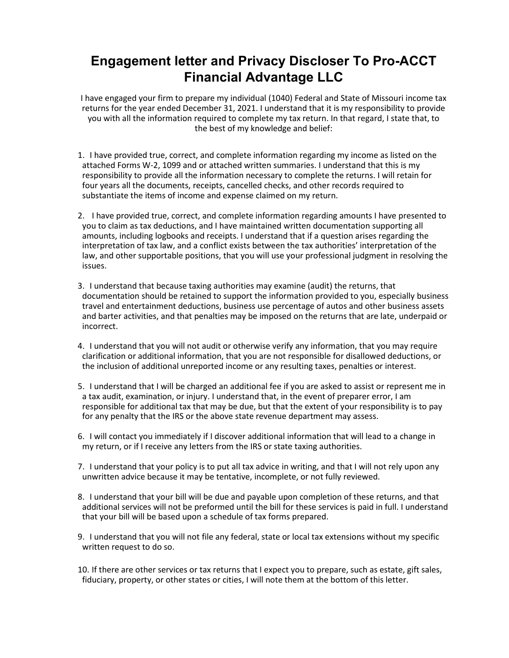## **Engagement letter and Privacy Discloser To Pro-ACCT Financial Advantage LLC**

I have engaged your firm to prepare my individual (1040) Federal and State of Missouri income tax returns for the year ended December 31, 2021. I understand that it is my responsibility to provide you with all the information required to complete my tax return. In that regard, I state that, to the best of my knowledge and belief:

- 1. I have provided true, correct, and complete information regarding my income as listed on the attached Forms W-2, 1099 and or attached written summaries. I understand that this is my responsibility to provide all the information necessary to complete the returns. I will retain for four years all the documents, receipts, cancelled checks, and other records required to substantiate the items of income and expense claimed on my return.
- 2. I have provided true, correct, and complete information regarding amounts I have presented to you to claim as tax deductions, and I have maintained written documentation supporting all amounts, including logbooks and receipts. I understand that if a question arises regarding the interpretation of tax law, and a conflict exists between the tax authorities' interpretation of the law, and other supportable positions, that you will use your professional judgment in resolving the issues.
- 3. I understand that because taxing authorities may examine (audit) the returns, that documentation should be retained to support the information provided to you, especially business travel and entertainment deductions, business use percentage of autos and other business assets and barter activities, and that penalties may be imposed on the returns that are late, underpaid or incorrect.
- 4. I understand that you will not audit or otherwise verify any information, that you may require clarification or additional information, that you are not responsible for disallowed deductions, or the inclusion of additional unreported income or any resulting taxes, penalties or interest.
- 5. I understand that I will be charged an additional fee if you are asked to assist or represent me in a tax audit, examination, or injury. I understand that, in the event of preparer error, I am responsible for additional tax that may be due, but that the extent of your responsibility is to pay for any penalty that the IRS or the above state revenue department may assess.
- 6. I will contact you immediately if I discover additional information that will lead to a change in my return, or if I receive any letters from the IRS or state taxing authorities.
- 7. I understand that your policy is to put all tax advice in writing, and that I will not rely upon any unwritten advice because it may be tentative, incomplete, or not fully reviewed.
- 8. I understand that your bill will be due and payable upon completion of these returns, and that additional services will not be preformed until the bill for these services is paid in full. I understand that your bill will be based upon a schedule of tax forms prepared.
- 9. I understand that you will not file any federal, state or local tax extensions without my specific written request to do so.
- 10. If there are other services or tax returns that I expect you to prepare, such as estate, gift sales, fiduciary, property, or other states or cities, I will note them at the bottom of this letter.